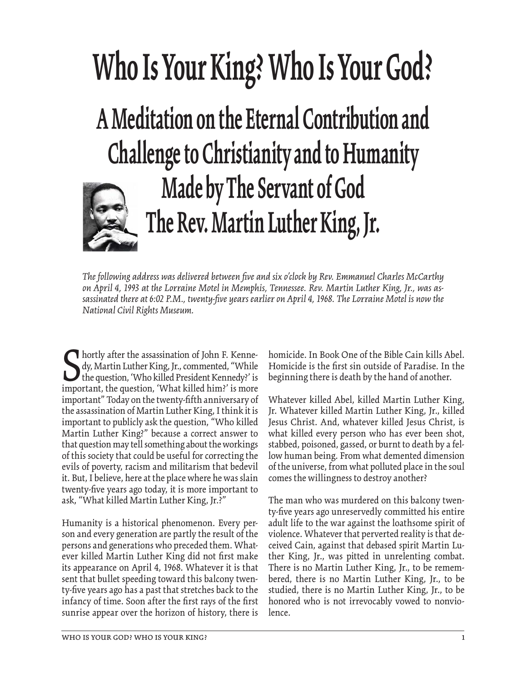## **Who Is Your King? Who Is Your God? A Meditation on the Eternal Contribution and Challenge to Christianity and to Humanity Made by The Servant of God The Rev. Martin Luther King, Jr.**

*The following address was delivered between fi ve and six o'clock by Rev. Emmanuel Charles McCarthy on April 4, 1993 at the Lorraine Motel in Memphis, Tennessee. Rev. Martin Luther King, Jr., was as*sassinated there at 6:02 P.M., twenty-five years earlier on April 4, 1968. The Lorraine Motel is now the *National Civil Rights Museum.*

Subsetted assassination of John F. Kenne-<br>dy, Martin Luther King, Jr., commented, "While<br>the question, "Who killed President Kennedy?' is<br>important, the question, "What killed him?' is more dy, Martin Luther King, Jr., commented, "While the question, 'Who killed President Kennedy?' is important, the question, 'What killed him?' is more important" Today on the twenty-fifth anniversary of the assassination of Martin Luther King, I think it is important to publicly ask the question, "Who killed Martin Luther King?" because a correct answer to that question may tell something about the workings of this society that could be useful for correcting the evils of poverty, racism and militarism that bedevil it. But, I believe, here at the place where he was slain twenty-five years ago today, it is more important to ask, "What killed Martin Luther King, Jr.?"

Humanity is a historical phenomenon. Every person and every generation are partly the result of the persons and generations who preceded them. Whatever killed Martin Luther King did not first make its appearance on April 4, 1968. Whatever it is that sent that bullet speeding toward this balcony twenty-five years ago has a past that stretches back to the infancy of time. Soon after the first rays of the first sunrise appear over the horizon of history, there is homicide. In Book One of the Bible Cain kills Abel. Homicide is the first sin outside of Paradise. In the beginning there is death by the hand of another.

Whatever killed Abel, killed Martin Luther King, Jr. Whatever killed Martin Luther King, Jr., killed Jesus Christ. And, whatever killed Jesus Christ, is what killed every person who has ever been shot, stabbed, poisoned, gassed, or burnt to death by a fellow human being. From what demented dimension of the universe, from what polluted place in the soul comes the willingness to destroy another?

The man who was murdered on this balcony twenty-five years ago unreservedly committed his entire adult life to the war against the loathsome spirit of violence. Whatever that perverted reality is that deceived Cain, against that debased spirit Martin Luther King, Jr., was pitted in unrelenting combat. There is no Martin Luther King, Jr., to be remembered, there is no Martin Luther King, Jr., to be studied, there is no Martin Luther King, Jr., to be honored who is not irrevocably vowed to nonviolence.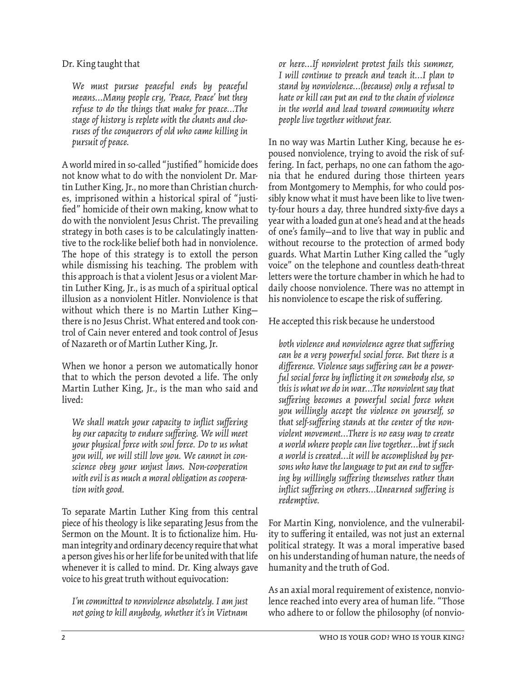Dr. King taught that

*We must pursue peaceful ends by peaceful means…Many people cry, 'Peace, Peace' but they refuse to do the things that make for peace…The stage of history is replete with the chants and choruses of the conquerors of old who came killing in pursuit of peace.*

A world mired in so-called "justified" homicide does not know what to do with the nonviolent Dr. Martin Luther King, Jr., no more than Christian churches, imprisoned within a historical spiral of "justified" homicide of their own making, know what to do with the nonviolent Jesus Christ. The prevailing strategy in both cases is to be calculatingly inattentive to the rock-like belief both had in nonviolence. The hope of this strategy is to extoll the person while dismissing his teaching. The problem with this approach is that a violent Jesus or a violent Martin Luther King, Jr., is as much of a spiritual optical illusion as a nonviolent Hitler. Nonviolence is that without which there is no Martin Luther King there is no Jesus Christ. What entered and took control of Cain never entered and took control of Jesus of Nazareth or of Martin Luther King, Jr.

When we honor a person we automatically honor that to which the person devoted a life. The only Martin Luther King, Jr., is the man who said and lived:

*We shall match your capacity to inflict suffering* by our capacity to endure suffering. We will meet *your physical force with soul force. Do to us what you will, we will still love you. We cannot in conscience obey your unjust laws. Non-cooperation with evil is as much a moral obligation as cooperation with good.* 

To separate Martin Luther King from this central piece of his theology is like separating Jesus from the Sermon on the Mount. It is to fictionalize him. Human integrity and ordinary decency require that what a person gives his or her life for be united with that life whenever it is called to mind. Dr. King always gave voice to his great truth without equivocation:

*I'm committed to nonviolence absolutely. I am just not going to kill anybody, whether it's in Vietnam* 

*or here…If nonviolent protest fails this summer, I will continue to preach and teach it…I plan to stand by nonviolence…(because) only a refusal to hate or kill can put an end to the chain of violence in the world and lead toward community where people live together without fear.* 

In no way was Martin Luther King, because he espoused nonviolence, trying to avoid the risk of suffering. In fact, perhaps, no one can fathom the agonia that he endured during those thirteen years from Montgomery to Memphis, for who could possibly know what it must have been like to live twenty-four hours a day, three hundred sixty-five days a year with a loaded gun at one's head and at the heads of one's family—and to live that way in public and without recourse to the protection of armed body guards. What Martin Luther King called the "ugly voice" on the telephone and countless death-threat letters were the torture chamber in which he had to daily choose nonviolence. There was no attempt in his nonviolence to escape the risk of suffering.

He accepted this risk because he understood

both violence and nonviolence agree that suffering *can be a very powerful social force. But there is a*  difference. Violence says suffering can be a powerful social force by inflicting it on somebody else, so *this is what we do in war…The nonviolent say that suff ering becomes a powerful social force when you willingly accept the violence on yourself, so*  that self-suffering stands at the center of the non*violent movement…There is no easy way to create a world where people can live together…but if such a world is created…it will be accomplished by per*sons who have the language to put an end to suffering by willingly suffering themselves rather than inflict suffering on others...Unearned suffering is *redemptive.* 

For Martin King, nonviolence, and the vulnerability to suffering it entailed, was not just an external political strategy. It was a moral imperative based on his understanding of human nature, the needs of humanity and the truth of God.

As an axial moral requirement of existence, nonviolence reached into every area of human life. "Those who adhere to or follow the philosophy (of nonvio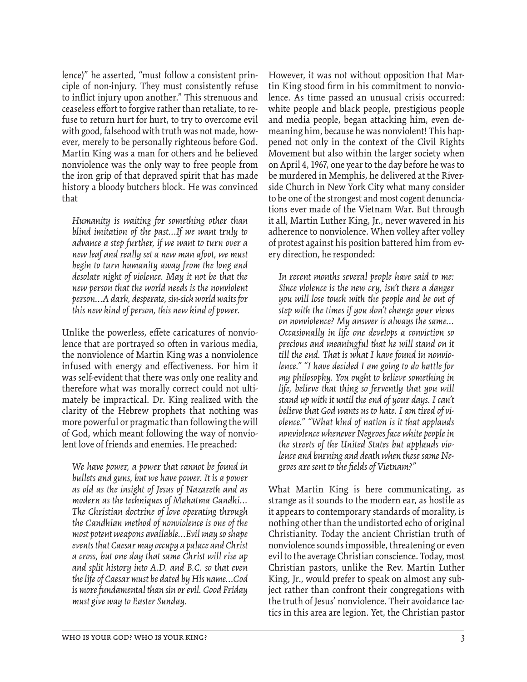lence)" he asserted, "must follow a consistent principle of non-injury. They must consistently refuse to inflict injury upon another." This strenuous and ceaseless effort to forgive rather than retaliate, to refuse to return hurt for hurt, to try to overcome evil with good, falsehood with truth was not made, however, merely to be personally righteous before God. Martin King was a man for others and he believed nonviolence was the only way to free people from the iron grip of that depraved spirit that has made history a bloody butchers block. He was convinced that

*Humanity is waiting for something other than blind imitation of the past…If we want truly to advance a step further, if we want to turn over a new leaf and really set a new man afoot, we must begin to turn humanity away from the long and desolate night of violence. May it not be that the new person that the world needs is the nonviolent person…A dark, desperate, sin-sick world waits for this new kind of person, this new kind of power.* 

Unlike the powerless, effete caricatures of nonviolence that are portrayed so often in various media, the nonviolence of Martin King was a nonviolence infused with energy and effectiveness. For him it was self-evident that there was only one reality and therefore what was morally correct could not ultimately be impractical. Dr. King realized with the clarity of the Hebrew prophets that nothing was more powerful or pragmatic than following the will of God, which meant following the way of nonviolent love of friends and enemies. He preached:

*We have power, a power that cannot be found in bullets and guns, but we have power. It is a power as old as the insight of Jesus of Nazareth and as modern as the techniques of Mahatma Gandhi… The Christian doctrine of love operating through the Gandhian method of nonviolence is one of the most potent weapons available…Evil may so shape events that Caesar may occupy a palace and Christ a cross, but one day that same Christ will rise up and split history into A.D. and B.C. so that even the life of Caesar must be dated by His name…God is more fundamental than sin or evil. Good Friday must give way to Easter Sunday.* 

However, it was not without opposition that Martin King stood firm in his commitment to nonviolence. As time passed an unusual crisis occurred: white people and black people, prestigious people and media people, began attacking him, even demeaning him, because he was nonviolent! This happened not only in the context of the Civil Rights Movement but also within the larger society when on April 4, 1967, one year to the day before he was to be murdered in Memphis, he delivered at the Riverside Church in New York City what many consider to be one of the strongest and most cogent denunciations ever made of the Vietnam War. But through it all, Martin Luther King, Jr., never wavered in his adherence to nonviolence. When volley after volley of protest against his position battered him from every direction, he responded:

*In recent months several people have said to me: Since violence is the new cry, isn't there a danger you will lose touch with the people and be out of step with the times if you don't change your views on nonviolence? My answer is always the same… Occasionally in life one develops a conviction so precious and meaningful that he will stand on it till the end. That is what I have found in nonviolence." "I have decided I am going to do battle for my philosophy. You ought to believe something in life, believe that thing so fervently that you will stand up with it until the end of your days. I can't believe that God wants us to hate. I am tired of violence." "What kind of nation is it that applauds nonviolence whenever Negroes face white people in the streets of the United States but applauds violence and burning and death when these same Negroes are sent to the fi elds of Vietnam?"* 

What Martin King is here communicating, as strange as it sounds to the modern ear, as hostile as it appears to contemporary standards of morality, is nothing other than the undistorted echo of original Christianity. Today the ancient Christian truth of nonviolence sounds impossible, threatening or even evil to the average Christian conscience. Today, most Christian pastors, unlike the Rev. Martin Luther King, Jr., would prefer to speak on almost any subject rather than confront their congregations with the truth of Jesus' nonviolence. Their avoidance tactics in this area are legion. Yet, the Christian pastor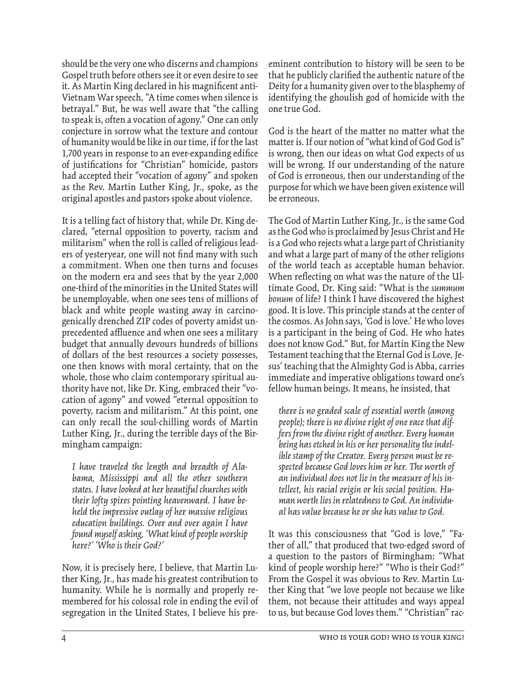should be the very one who discerns and champions Gospel truth before others see it or even desire to see it. As Martin King declared in his magnificent anti-Vietnam War speech, "A time comes when silence is betrayal." But, he was well aware that "the calling to speak is, often a vocation of agony." One can only conjecture in sorrow what the texture and contour of humanity would be like in our time, if for the last 1,700 years in response to an ever-expanding edifice of justifications for "Christian" homicide, pastors had accepted their "vocation of agony" and spoken as the Rev. Martin Luther King, Jr., spoke, as the original apostles and pastors spoke about violence.

It is a telling fact of history that, while Dr. King declared, "eternal opposition to poverty, racism and militarism" when the roll is called of religious leaders of yesteryear, one will not find many with such a commitment. When one then turns and focuses on the modern era and sees that by the year 2,000 one-third of the minorities in the United States will be unemployable, when one sees tens of millions of black and white people wasting away in carcinogenically drenched ZIP codes of poverty amidst unprecedented affluence and when one sees a military budget that annually devours hundreds of billions of dollars of the best resources a society possesses, one then knows with moral certainty, that on the whole, those who claim contemporary spiritual authority have not, like Dr. King, embraced their "vocation of agony" and vowed "eternal opposition to poverty, racism and militarism." At this point, one can only recall the soul-chilling words of Martin Luther King, Jr., during the terrible days of the Birmingham campaign:

*I have traveled the length and breadth of Alabama, Mississippi and all the other southern states. I have looked at her beautiful churches with their lofty spires pointing heavenward. I have beheld the impressive outlay of her massive religious education buildings. Over and over again I have found myself asking, 'What kind of people worship here?' 'Who is their God?'* 

Now, it is precisely here, I believe, that Martin Luther King, Jr., has made his greatest contribution to humanity. While he is normally and properly remembered for his colossal role in ending the evil of segregation in the United States, I believe his preeminent contribution to history will be seen to be that he publicly clarified the authentic nature of the Deity for a humanity given over to the blasphemy of identifying the ghoulish god of homicide with the one true God.

God is the heart of the matter no matter what the matter is. If our notion of "what kind of God God is" is wrong, then our ideas on what God expects of us will be wrong. If our understanding of the nature of God is erroneous, then our understanding of the purpose for which we have been given existence will be erroneous.

The God of Martin Luther King, Jr., is the same God as the God who is proclaimed by Jesus Christ and He is a God who rejects what a large part of Christianity and what a large part of many of the other religions of the world teach as acceptable human behavior. When reflecting on what was the nature of the Ultimate Good, Dr. King said: "What is the *summum bonum* of life? I think I have discovered the highest good. It is love. This principle stands at the center of the cosmos. As John says, 'God is love.' He who loves is a participant in the being of God. He who hates does not know God." But, for Martin King the New Testament teaching that the Eternal God is Love, Jesus' teaching that the Almighty God is Abba, carries immediate and imperative obligations toward one's fellow human beings. It means, he insisted, that

*there is no graded scale of essential worth (among people); there is no divine right of one race that differs from the divine right of another. Every human being has etched in his or her personality the indelible stamp of the Creator. Every person must be respected because God loves him or her. The worth of an individual does not lie in the measure of his intellect, his racial origin or his social position. Human worth lies in relatedness to God. An individual has value because he or she has value to God.* 

It was this consciousness that "God is love," "Father of all," that produced that two-edged sword of a question to the pastors of Birmingham: "What kind of people worship here?" "Who is their God?" From the Gospel it was obvious to Rev. Martin Luther King that "we love people not because we like them, not because their attitudes and ways appeal to us, but because God loves them." "Christian" rac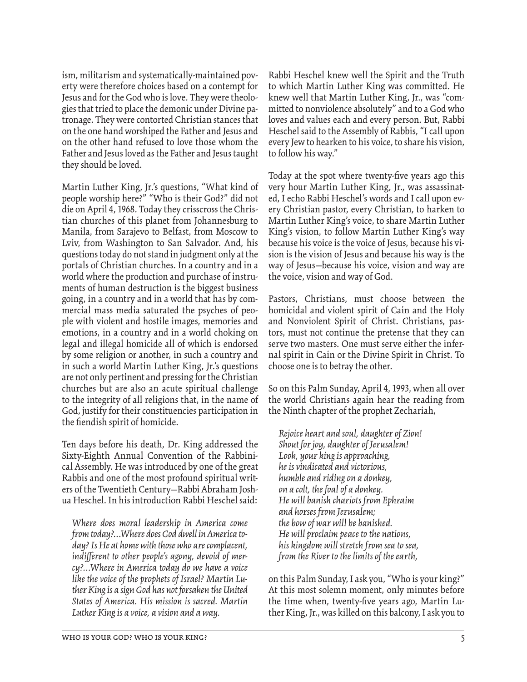ism, militarism and systematically-maintained poverty were therefore choices based on a contempt for Jesus and for the God who is love. They were theologies that tried to place the demonic under Divine patronage. They were contorted Christian stances that on the one hand worshiped the Father and Jesus and on the other hand refused to love those whom the Father and Jesus loved as the Father and Jesus taught they should be loved.

Martin Luther King, Jr.'s questions, "What kind of people worship here?" "Who is their God?" did not die on April 4, 1968. Today they crisscross the Christian churches of this planet from Johannesburg to Manila, from Sarajevo to Belfast, from Moscow to Lviv, from Washington to San Salvador. And, his questions today do not stand in judgment only at the portals of Christian churches. In a country and in a world where the production and purchase of instruments of human destruction is the biggest business going, in a country and in a world that has by commercial mass media saturated the psyches of people with violent and hostile images, memories and emotions, in a country and in a world choking on legal and illegal homicide all of which is endorsed by some religion or another, in such a country and in such a world Martin Luther King, Jr.'s questions are not only pertinent and pressing for the Christian churches but are also an acute spiritual challenge to the integrity of all religions that, in the name of God, justify for their constituencies participation in the fiendish spirit of homicide.

Ten days before his death, Dr. King addressed the Sixty-Eighth Annual Convention of the Rabbinical Assembly. He was introduced by one of the great Rabbis and one of the most profound spiritual writers of the Twentieth Century—Rabbi Abraham Joshua Heschel. In his introduction Rabbi Heschel said:

*Where does moral leadership in America come from today?…Where does God dwell in America today? Is He at home with those who are complacent,*  indifferent to other people's agony, devoid of mer*cy?…Where in America today do we have a voice like the voice of the prophets of Israel? Martin Luther King is a sign God has not forsaken the United States of America. His mission is sacred. Martin Luther King is a voice, a vision and a way.* 

Rabbi Heschel knew well the Spirit and the Truth to which Martin Luther King was committed. He knew well that Martin Luther King, Jr., was "committed to nonviolence absolutely" and to a God who loves and values each and every person. But, Rabbi Heschel said to the Assembly of Rabbis, "I call upon every Jew to hearken to his voice, to share his vision, to follow his way."

Today at the spot where twenty-five years ago this very hour Martin Luther King, Jr., was assassinated, I echo Rabbi Heschel's words and I call upon every Christian pastor, every Christian, to harken to Martin Luther King's voice, to share Martin Luther King's vision, to follow Martin Luther King's way because his voice is the voice of Jesus, because his vision is the vision of Jesus and because his way is the way of Jesus—because his voice, vision and way are the voice, vision and way of God.

Pastors, Christians, must choose between the homicidal and violent spirit of Cain and the Holy and Nonviolent Spirit of Christ. Christians, pastors, must not continue the pretense that they can serve two masters. One must serve either the infernal spirit in Cain or the Divine Spirit in Christ. To choose one is to betray the other.

So on this Palm Sunday, April 4, 1993, when all over the world Christians again hear the reading from the Ninth chapter of the prophet Zechariah,

*Rejoice heart and soul, daughter of Zion! Shout for joy, daughter of Jerusalem! Look, your king is approaching, he is vindicated and victorious, humble and riding on a donkey, on a colt, the foal of a donkey. He will banish chariots from Ephraim and horses from Jerusalem; the bow of war will be banished. He will proclaim peace to the nations, his kingdom will stretch from sea to sea, from the River to the limits of the earth,* 

on this Palm Sunday, I ask you, "Who is your king?" At this most solemn moment, only minutes before the time when, twenty-five years ago, Martin Luther King, Jr., was killed on this balcony, I ask you to